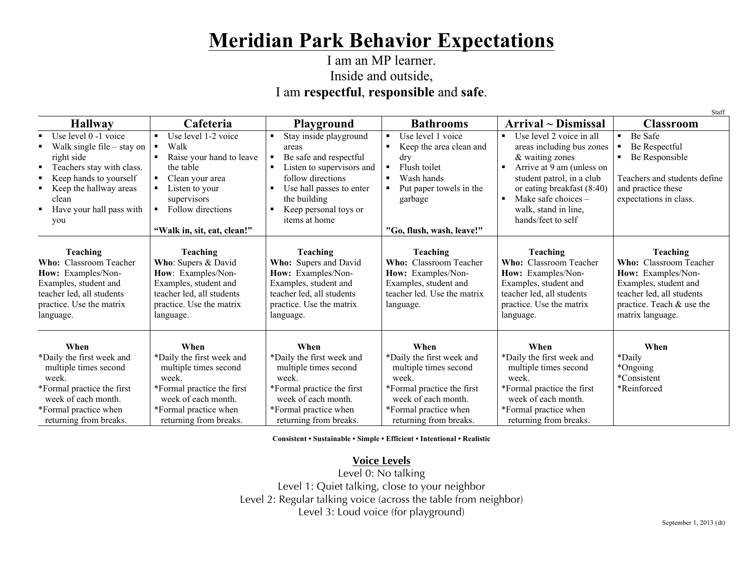# **Meridian Park Behavior Expectations**

#### I am an MP learner. Inside and outside, I am **respectful**, **responsible** and **safe**.

| Staff                                                                    |                                                                          |                                                                          |                                                                            |                                                                          |                                                                          |  |  |
|--------------------------------------------------------------------------|--------------------------------------------------------------------------|--------------------------------------------------------------------------|----------------------------------------------------------------------------|--------------------------------------------------------------------------|--------------------------------------------------------------------------|--|--|
| <b>Hallway</b>                                                           | Cafeteria                                                                | <b>Playground</b>                                                        | <b>Bathrooms</b>                                                           | $Arrival \sim Dismissal$                                                 | <b>Classroom</b>                                                         |  |  |
| Use level 0 -1 voice<br>$\blacksquare$<br>Walk single file $-$ stay on   | Use level 1-2 voice<br>$\blacksquare$<br>Walk<br>$\blacksquare$          | Stay inside playground<br>areas                                          | Use level 1 voice<br>Keep the area clean and                               | Use level 2 voice in all<br>areas including bus zones                    | Be Safe<br>Be Respectful                                                 |  |  |
| right side<br>Teachers stay with class.<br>٠                             | Raise your hand to leave<br>the table                                    | Be safe and respectful<br>Listen to supervisors and                      | dry<br>Flush toilet<br>$\blacksquare$                                      | & waiting zones<br>Arrive at 9 am (unless on<br>$\blacksquare$           | Be Responsible                                                           |  |  |
| Keep hands to yourself<br>Keep the hallway areas                         | Clean your area<br>Listen to your                                        | follow directions<br>Use hall passes to enter                            | Wash hands<br>Put paper towels in the                                      | student patrol, in a club<br>or eating breakfast (8.40)                  | Teachers and students define<br>and practice these                       |  |  |
| clean                                                                    | supervisors                                                              | the building                                                             | garbage                                                                    | Make safe choices $-$<br>$\blacksquare$                                  | expectations in class.                                                   |  |  |
| Have your hall pass with<br>$\blacksquare$<br>you                        | Follow directions                                                        | Keep personal toys or<br>items at home                                   |                                                                            | walk, stand in line,<br>hands/feet to self                               |                                                                          |  |  |
|                                                                          | "Walk in, sit, eat, clean!"                                              |                                                                          | "Go, flush, wash, leave!"                                                  |                                                                          |                                                                          |  |  |
| <b>Teaching</b><br><b>Who:</b> Classroom Teacher                         | <b>Teaching</b><br>Who: Supers & David                                   | <b>Teaching</b><br>Who: Supers and David                                 | <b>Teaching</b><br><b>Who:</b> Classroom Teacher                           | <b>Teaching</b><br><b>Who:</b> Classroom Teacher                         | Teaching<br><b>Who:</b> Classroom Teacher                                |  |  |
| How: Examples/Non-<br>Examples, student and<br>teacher led, all students | How: Examples/Non-<br>Examples, student and<br>teacher led, all students | How: Examples/Non-<br>Examples, student and<br>teacher led, all students | How: Examples/Non-<br>Examples, student and<br>teacher led. Use the matrix | How: Examples/Non-<br>Examples, student and<br>teacher led, all students | How: Examples/Non-<br>Examples, student and<br>teacher led, all students |  |  |
| practice. Use the matrix<br>language.                                    | practice. Use the matrix<br>language.                                    | practice. Use the matrix<br>language.                                    | language.                                                                  | practice. Use the matrix<br>language.                                    | practice. Teach & use the<br>matrix language.                            |  |  |
| When                                                                     | When                                                                     | When                                                                     | When                                                                       | When                                                                     | When                                                                     |  |  |
| *Daily the first week and                                                | *Daily the first week and                                                | *Daily the first week and                                                | *Daily the first week and                                                  | *Daily the first week and                                                | *Daily                                                                   |  |  |
| multiple times second                                                    | multiple times second                                                    | multiple times second                                                    | multiple times second                                                      | multiple times second                                                    | *Ongoing                                                                 |  |  |
| week.                                                                    | week.                                                                    | week.                                                                    | week.                                                                      | week.                                                                    | *Consistent                                                              |  |  |
| *Formal practice the first                                               | *Formal practice the first                                               | *Formal practice the first                                               | *Formal practice the first                                                 | *Formal practice the first                                               | *Reinforced                                                              |  |  |
| week of each month.<br>*Formal practice when                             | week of each month.                                                      | week of each month.<br>*Formal practice when                             | week of each month.                                                        | week of each month.<br>*Formal practice when                             |                                                                          |  |  |
| returning from breaks.                                                   | *Formal practice when<br>returning from breaks.                          | returning from breaks.                                                   | *Formal practice when<br>returning from breaks.                            | returning from breaks.                                                   |                                                                          |  |  |

**Consistent • Sustainable • Simple • Efficient • Intentional • Realistic**

#### **Voice Levels**

Level 0: No talking Level 1: Quiet talking, close to your neighbor Level 2: Regular talking voice (across the table from neighbor) Level 3: Loud voice (for playground)